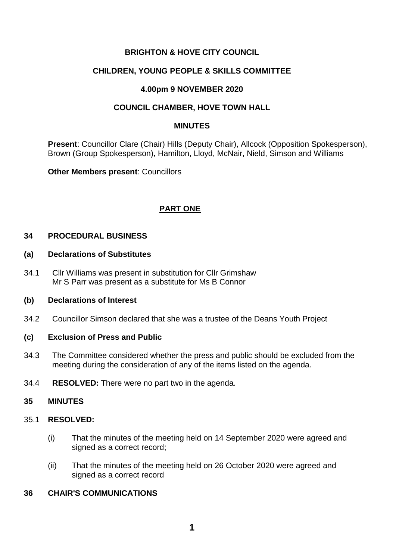## **BRIGHTON & HOVE CITY COUNCIL**

## **CHILDREN, YOUNG PEOPLE & SKILLS COMMITTEE**

## **4.00pm 9 NOVEMBER 2020**

## **COUNCIL CHAMBER, HOVE TOWN HALL**

#### **MINUTES**

**Present**: Councillor Clare (Chair) Hills (Deputy Chair), Allcock (Opposition Spokesperson), Brown (Group Spokesperson), Hamilton, Lloyd, McNair, Nield, Simson and Williams

**Other Members present**: Councillors

## **PART ONE**

## **34 PROCEDURAL BUSINESS**

#### **(a) Declarations of Substitutes**

34.1 Cllr Williams was present in substitution for Cllr Grimshaw Mr S Parr was present as a substitute for Ms B Connor

## **(b) Declarations of Interest**

34.2 Councillor Simson declared that she was a trustee of the Deans Youth Project

## **(c) Exclusion of Press and Public**

- 34.3 The Committee considered whether the press and public should be excluded from the meeting during the consideration of any of the items listed on the agenda.
- 34.4 **RESOLVED:** There were no part two in the agenda.

#### **35 MINUTES**

## 35.1 **RESOLVED:**

- (i) That the minutes of the meeting held on 14 September 2020 were agreed and signed as a correct record;
- (ii) That the minutes of the meeting held on 26 October 2020 were agreed and signed as a correct record

## **36 CHAIR'S COMMUNICATIONS**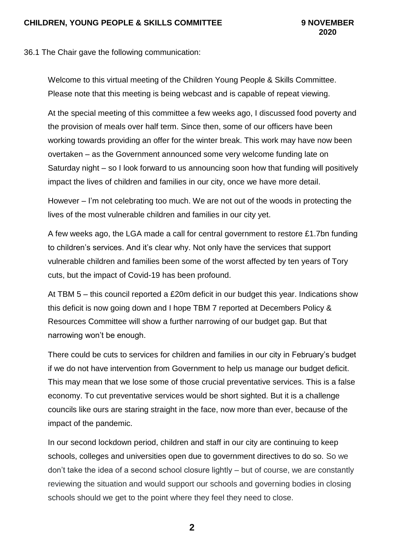36.1 The Chair gave the following communication:

Welcome to this virtual meeting of the Children Young People & Skills Committee. Please note that this meeting is being webcast and is capable of repeat viewing.

At the special meeting of this committee a few weeks ago, I discussed food poverty and the provision of meals over half term. Since then, some of our officers have been working towards providing an offer for the winter break. This work may have now been overtaken – as the Government announced some very welcome funding late on Saturday night – so I look forward to us announcing soon how that funding will positively impact the lives of children and families in our city, once we have more detail.

However – I'm not celebrating too much. We are not out of the woods in protecting the lives of the most vulnerable children and families in our city yet.

A few weeks ago, the LGA made a call for central government to restore £1.7bn funding to children's services. And it's clear why. Not only have the services that support vulnerable children and families been some of the worst affected by ten years of Tory cuts, but the impact of Covid-19 has been profound.

At TBM 5 – this council reported a £20m deficit in our budget this year. Indications show this deficit is now going down and I hope TBM 7 reported at Decembers Policy & Resources Committee will show a further narrowing of our budget gap. But that narrowing won't be enough.

There could be cuts to services for children and families in our city in February's budget if we do not have intervention from Government to help us manage our budget deficit. This may mean that we lose some of those crucial preventative services. This is a false economy. To cut preventative services would be short sighted. But it is a challenge councils like ours are staring straight in the face, now more than ever, because of the impact of the pandemic.

In our second lockdown period, children and staff in our city are continuing to keep schools, colleges and universities open due to government directives to do so. So we don't take the idea of a second school closure lightly – but of course, we are constantly reviewing the situation and would support our schools and governing bodies in closing schools should we get to the point where they feel they need to close.

**2**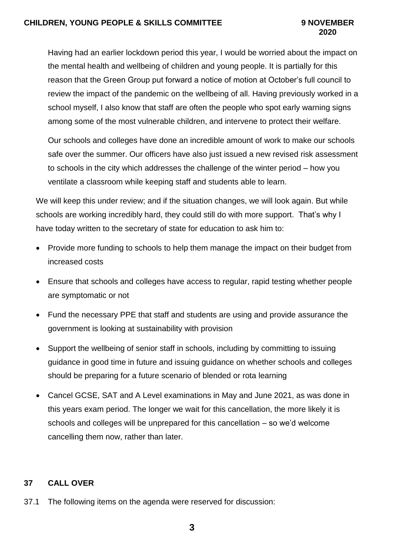## **CHILDREN, YOUNG PEOPLE & SKILLS COMMITTEE 9 NOVEMBER**

# **2020**

Having had an earlier lockdown period this year, I would be worried about the impact on the mental health and wellbeing of children and young people. It is partially for this reason that the Green Group put forward a notice of motion at October's full council to review the impact of the pandemic on the wellbeing of all. Having previously worked in a school myself, I also know that staff are often the people who spot early warning signs among some of the most vulnerable children, and intervene to protect their welfare.

Our schools and colleges have done an incredible amount of work to make our schools safe over the summer. Our officers have also just issued a new revised risk assessment to schools in the city which addresses the challenge of the winter period – how you ventilate a classroom while keeping staff and students able to learn.

We will keep this under review; and if the situation changes, we will look again. But while schools are working incredibly hard, they could still do with more support. That's why I have today written to the secretary of state for education to ask him to:

- Provide more funding to schools to help them manage the impact on their budget from increased costs
- Ensure that schools and colleges have access to regular, rapid testing whether people are symptomatic or not
- Fund the necessary PPE that staff and students are using and provide assurance the government is looking at sustainability with provision
- Support the wellbeing of senior staff in schools, including by committing to issuing guidance in good time in future and issuing guidance on whether schools and colleges should be preparing for a future scenario of blended or rota learning
- Cancel GCSE, SAT and A Level examinations in May and June 2021, as was done in this years exam period. The longer we wait for this cancellation, the more likely it is schools and colleges will be unprepared for this cancellation – so we'd welcome cancelling them now, rather than later.

# **37 CALL OVER**

37.1 The following items on the agenda were reserved for discussion: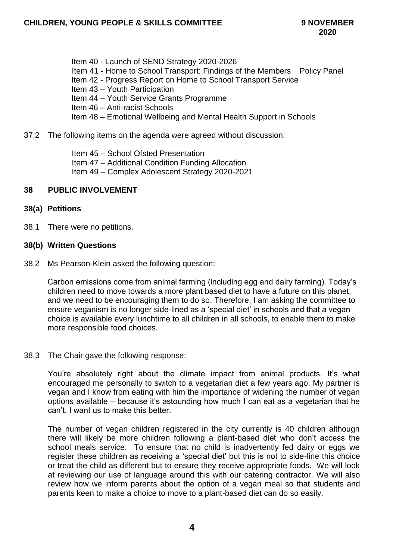Item 40 - Launch of SEND Strategy 2020-2026 Item 41 - Home to School Transport: Findings of the Members Policy Panel Item 42 - Progress Report on Home to School Transport Service Item 43 – Youth Participation Item 44 – Youth Service Grants Programme Item 46 – Anti-racist Schools Item 48 – Emotional Wellbeing and Mental Health Support in Schools

#### 37.2 The following items on the agenda were agreed without discussion:

Item 45 – School Ofsted Presentation Item 47 – Additional Condition Funding Allocation Item 49 – Complex Adolescent Strategy 2020-2021

#### **38 PUBLIC INVOLVEMENT**

#### **38(a) Petitions**

38.1 There were no petitions.

#### **38(b) Written Questions**

38.2 Ms Pearson-Klein asked the following question:

Carbon emissions come from animal farming (including egg and dairy farming). Today's children need to move towards a more plant based diet to have a future on this planet, and we need to be encouraging them to do so. Therefore, I am asking the committee to ensure veganism is no longer side-lined as a 'special diet' in schools and that a vegan choice is available every lunchtime to all children in all schools, to enable them to make more responsible food choices.

#### 38.3 The Chair gave the following response:

You're absolutely right about the climate impact from animal products. It's what encouraged me personally to switch to a vegetarian diet a few years ago. My partner is vegan and I know from eating with him the importance of widening the number of vegan options available – because it's astounding how much I can eat as a vegetarian that he can't. I want us to make this better.

The number of vegan children registered in the city currently is 40 children although there will likely be more children following a plant-based diet who don't access the school meals service. To ensure that no child is inadvertently fed dairy or eggs we register these children as receiving a 'special diet' but this is not to side-line this choice or treat the child as different but to ensure they receive appropriate foods. We will look at reviewing our use of language around this with our catering contractor. We will also review how we inform parents about the option of a vegan meal so that students and parents keen to make a choice to move to a plant-based diet can do so easily.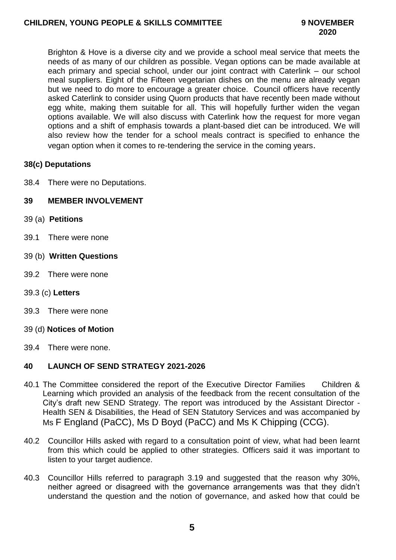Brighton & Hove is a diverse city and we provide a school meal service that meets the needs of as many of our children as possible. Vegan options can be made available at each primary and special school, under our joint contract with Caterlink – our school meal suppliers. Eight of the Fifteen vegetarian dishes on the menu are already vegan but we need to do more to encourage a greater choice. Council officers have recently asked Caterlink to consider using Quorn products that have recently been made without egg white, making them suitable for all. This will hopefully further widen the vegan options available. We will also discuss with Caterlink how the request for more vegan options and a shift of emphasis towards a plant-based diet can be introduced. We will also review how the tender for a school meals contract is specified to enhance the vegan option when it comes to re-tendering the service in the coming years.

## **38(c) Deputations**

38.4 There were no Deputations.

## **39 MEMBER INVOLVEMENT**

- 39 (a) **Petitions**
- 39.1 There were none
- 39 (b) **Written Questions**
- 39.2 There were none

## 39.3 (c) **Letters**

- 39.3 There were none
- 39 (d) **Notices of Motion**
- 39.4 There were none.

## **40 LAUNCH OF SEND STRATEGY 2021-2026**

- 40.1 The Committee considered the report of the Executive Director Families Children & Learning which provided an analysis of the feedback from the recent consultation of the City's draft new SEND Strategy. The report was introduced by the Assistant Director - Health SEN & Disabilities, the Head of SEN Statutory Services and was accompanied by Ms F England (PaCC), Ms D Boyd (PaCC) and Ms K Chipping (CCG).
- 40.2 Councillor Hills asked with regard to a consultation point of view, what had been learnt from this which could be applied to other strategies. Officers said it was important to listen to your target audience.
- 40.3 Councillor Hills referred to paragraph 3.19 and suggested that the reason why 30%, neither agreed or disagreed with the governance arrangements was that they didn't understand the question and the notion of governance, and asked how that could be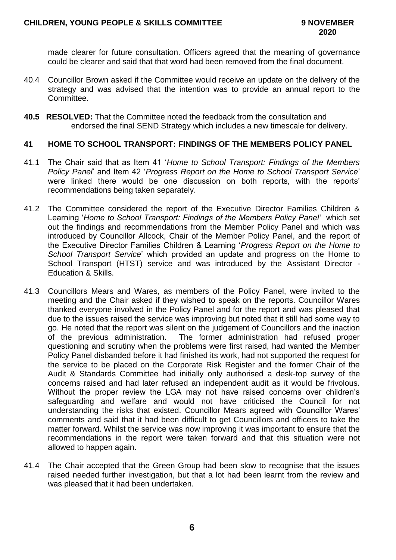made clearer for future consultation. Officers agreed that the meaning of governance could be clearer and said that that word had been removed from the final document.

- 40.4 Councillor Brown asked if the Committee would receive an update on the delivery of the strategy and was advised that the intention was to provide an annual report to the Committee.
- **40.5 RESOLVED:** That the Committee noted the feedback from the consultation and endorsed the final SEND Strategy which includes a new timescale for delivery.

## **41 HOME TO SCHOOL TRANSPORT: FINDINGS OF THE MEMBERS POLICY PANEL**

- 41.1 The Chair said that as Item 41 '*Home to School Transport: Findings of the Members Policy Panel*' and Item 42 '*Progress Report on the Home to School Transport Service*' were linked there would be one discussion on both reports, with the reports' recommendations being taken separately.
- 41.2 The Committee considered the report of the Executive Director Families Children & Learning '*Home to School Transport: Findings of the Members Policy Panel'* which set out the findings and recommendations from the Member Policy Panel and which was introduced by Councillor Allcock, Chair of the Member Policy Panel, and the report of the Executive Director Families Children & Learning '*Progress Report on the Home to School Transport Service*' which provided an update and progress on the Home to School Transport (HTST) service and was introduced by the Assistant Director - Education & Skills.
- 41.3 Councillors Mears and Wares, as members of the Policy Panel, were invited to the meeting and the Chair asked if they wished to speak on the reports. Councillor Wares thanked everyone involved in the Policy Panel and for the report and was pleased that due to the issues raised the service was improving but noted that it still had some way to go. He noted that the report was silent on the judgement of Councillors and the inaction of the previous administration. The former administration had refused proper questioning and scrutiny when the problems were first raised, had wanted the Member Policy Panel disbanded before it had finished its work, had not supported the request for the service to be placed on the Corporate Risk Register and the former Chair of the Audit & Standards Committee had initially only authorised a desk-top survey of the concerns raised and had later refused an independent audit as it would be frivolous. Without the proper review the LGA may not have raised concerns over children's safeguarding and welfare and would not have criticised the Council for not understanding the risks that existed. Councillor Mears agreed with Councillor Wares' comments and said that it had been difficult to get Councillors and officers to take the matter forward. Whilst the service was now improving it was important to ensure that the recommendations in the report were taken forward and that this situation were not allowed to happen again.
- 41.4 The Chair accepted that the Green Group had been slow to recognise that the issues raised needed further investigation, but that a lot had been learnt from the review and was pleased that it had been undertaken.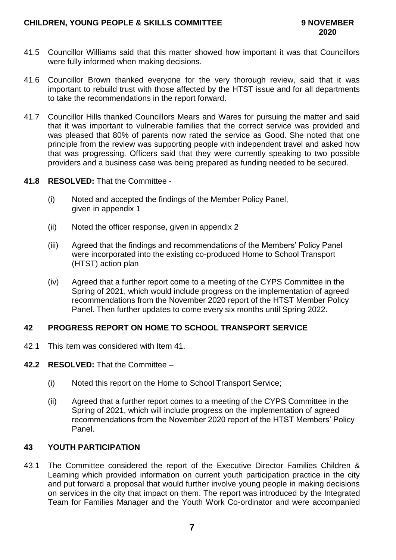- 41.5 Councillor Williams said that this matter showed how important it was that Councillors were fully informed when making decisions.
- 41.6 Councillor Brown thanked everyone for the very thorough review, said that it was important to rebuild trust with those affected by the HTST issue and for all departments to take the recommendations in the report forward.
- 41.7 Councillor Hills thanked Councillors Mears and Wares for pursuing the matter and said that it was important to vulnerable families that the correct service was provided and was pleased that 80% of parents now rated the service as Good. She noted that one principle from the review was supporting people with independent travel and asked how that was progressing. Officers said that they were currently speaking to two possible providers and a business case was being prepared as funding needed to be secured.
- **41.8 RESOLVED:** That the Committee
	- (i) Noted and accepted the findings of the Member Policy Panel, given in appendix 1
	- (ii) Noted the officer response, given in appendix 2
	- (iii) Agreed that the findings and recommendations of the Members' Policy Panel were incorporated into the existing co-produced Home to School Transport (HTST) action plan
	- (iv) Agreed that a further report come to a meeting of the CYPS Committee in the Spring of 2021, which would include progress on the implementation of agreed recommendations from the November 2020 report of the HTST Member Policy Panel. Then further updates to come every six months until Spring 2022.

## **42 PROGRESS REPORT ON HOME TO SCHOOL TRANSPORT SERVICE**

42.1 This item was considered with Item 41.

#### **42.2 RESOLVED:** That the Committee –

- (i) Noted this report on the Home to School Transport Service;
- (ii) Agreed that a further report comes to a meeting of the CYPS Committee in the Spring of 2021, which will include progress on the implementation of agreed recommendations from the November 2020 report of the HTST Members' Policy Panel.

## **43 YOUTH PARTICIPATION**

43.1 The Committee considered the report of the Executive Director Families Children & Learning which provided information on current youth participation practice in the city and put forward a proposal that would further involve young people in making decisions on services in the city that impact on them. The report was introduced by the Integrated Team for Families Manager and the Youth Work Co-ordinator and were accompanied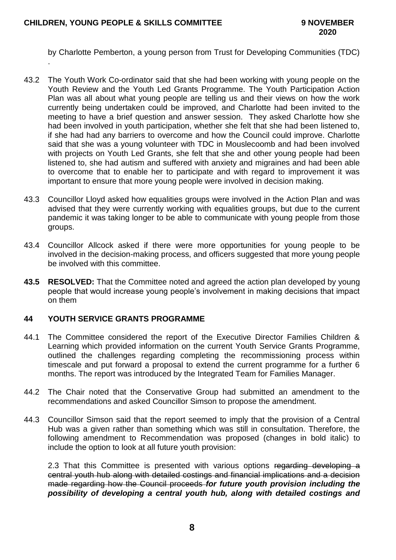.

by Charlotte Pemberton, a young person from Trust for Developing Communities (TDC)

- 43.2 The Youth Work Co-ordinator said that she had been working with young people on the Youth Review and the Youth Led Grants Programme. The Youth Participation Action Plan was all about what young people are telling us and their views on how the work currently being undertaken could be improved, and Charlotte had been invited to the meeting to have a brief question and answer session. They asked Charlotte how she had been involved in youth participation, whether she felt that she had been listened to, if she had had any barriers to overcome and how the Council could improve. Charlotte said that she was a young volunteer with TDC in Mouslecoomb and had been involved with projects on Youth Led Grants, she felt that she and other young people had been listened to, she had autism and suffered with anxiety and migraines and had been able to overcome that to enable her to participate and with regard to improvement it was important to ensure that more young people were involved in decision making.
- 43.3 Councillor Lloyd asked how equalities groups were involved in the Action Plan and was advised that they were currently working with equalities groups, but due to the current pandemic it was taking longer to be able to communicate with young people from those groups.
- 43.4 Councillor Allcock asked if there were more opportunities for young people to be involved in the decision-making process, and officers suggested that more young people be involved with this committee.
- **43.5 RESOLVED:** That the Committee noted and agreed the action plan developed by young people that would increase young people's involvement in making decisions that impact on them

## **44 YOUTH SERVICE GRANTS PROGRAMME**

- 44.1 The Committee considered the report of the Executive Director Families Children & Learning which provided information on the current Youth Service Grants Programme, outlined the challenges regarding completing the recommissioning process within timescale and put forward a proposal to extend the current programme for a further 6 months. The report was introduced by the Integrated Team for Families Manager.
- 44.2 The Chair noted that the Conservative Group had submitted an amendment to the recommendations and asked Councillor Simson to propose the amendment.
- 44.3 Councillor Simson said that the report seemed to imply that the provision of a Central Hub was a given rather than something which was still in consultation. Therefore, the following amendment to Recommendation was proposed (changes in bold italic) to include the option to look at all future youth provision:

2.3 That this Committee is presented with various options regarding developing a central youth hub along with detailed costings and financial implications and a decision made regarding how the Council proceeds *for future youth provision including the possibility of developing a central youth hub, along with detailed costings and*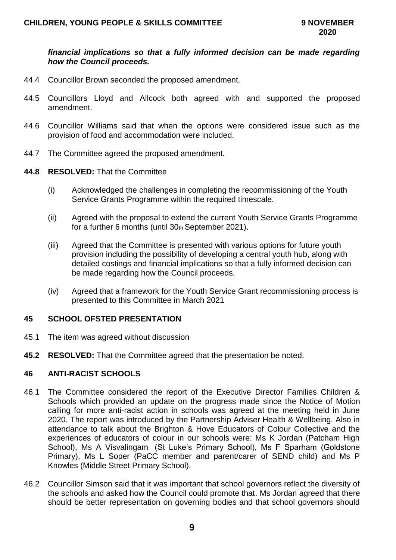### *financial implications so that a fully informed decision can be made regarding how the Council proceeds.*

- 44.4 Councillor Brown seconded the proposed amendment.
- 44.5 Councillors Lloyd and Allcock both agreed with and supported the proposed amendment.
- 44.6 Councillor Williams said that when the options were considered issue such as the provision of food and accommodation were included.
- 44.7 The Committee agreed the proposed amendment.
- **44.8 RESOLVED:** That the Committee
	- (i) Acknowledged the challenges in completing the recommissioning of the Youth Service Grants Programme within the required timescale.
	- (ii) Agreed with the proposal to extend the current Youth Service Grants Programme for a further 6 months (until 30th September 2021).
	- (iii) Agreed that the Committee is presented with various options for future youth provision including the possibility of developing a central youth hub, along with detailed costings and financial implications so that a fully informed decision can be made regarding how the Council proceeds.
	- (iv) Agreed that a framework for the Youth Service Grant recommissioning process is presented to this Committee in March 2021

#### **45 SCHOOL OFSTED PRESENTATION**

- 45.1 The item was agreed without discussion
- **45.2 RESOLVED:** That the Committee agreed that the presentation be noted.

## **46 ANTI-RACIST SCHOOLS**

- 46.1 The Committee considered the report of the Executive Director Families Children & Schools which provided an update on the progress made since the Notice of Motion calling for more anti-racist action in schools was agreed at the meeting held in June 2020. The report was introduced by the Partnership Adviser Health & Wellbeing. Also in attendance to talk about the Brighton & Hove Educators of Colour Collective and the experiences of educators of colour in our schools were: Ms K Jordan (Patcham High School), Ms A Visvalingam (St Luke's Primary School), Ms F Sparham (Goldstone Primary), Ms L Soper (PaCC member and parent/carer of SEND child) and Ms P Knowles (Middle Street Primary School).
- 46.2 Councillor Simson said that it was important that school governors reflect the diversity of the schools and asked how the Council could promote that. Ms Jordan agreed that there should be better representation on governing bodies and that school governors should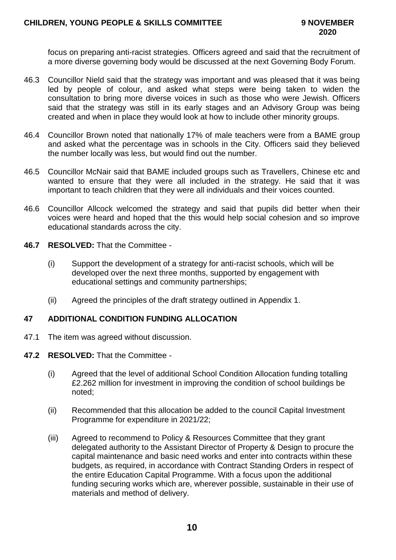focus on preparing anti-racist strategies. Officers agreed and said that the recruitment of a more diverse governing body would be discussed at the next Governing Body Forum.

- 46.3 Councillor Nield said that the strategy was important and was pleased that it was being led by people of colour, and asked what steps were being taken to widen the consultation to bring more diverse voices in such as those who were Jewish. Officers said that the strategy was still in its early stages and an Advisory Group was being created and when in place they would look at how to include other minority groups.
- 46.4 Councillor Brown noted that nationally 17% of male teachers were from a BAME group and asked what the percentage was in schools in the City. Officers said they believed the number locally was less, but would find out the number.
- 46.5 Councillor McNair said that BAME included groups such as Travellers, Chinese etc and wanted to ensure that they were all included in the strategy. He said that it was important to teach children that they were all individuals and their voices counted.
- 46.6 Councillor Allcock welcomed the strategy and said that pupils did better when their voices were heard and hoped that the this would help social cohesion and so improve educational standards across the city.
- **46.7 RESOLVED:** That the Committee
	- (i) Support the development of a strategy for anti-racist schools, which will be developed over the next three months, supported by engagement with educational settings and community partnerships;
	- (ii) Agreed the principles of the draft strategy outlined in Appendix 1.

## **47 ADDITIONAL CONDITION FUNDING ALLOCATION**

- 47.1 The item was agreed without discussion.
- **47.2 RESOLVED:** That the Committee
	- (i) Agreed that the level of additional School Condition Allocation funding totalling £2.262 million for investment in improving the condition of school buildings be noted;
	- (ii) Recommended that this allocation be added to the council Capital Investment Programme for expenditure in 2021/22;
	- (iii) Agreed to recommend to Policy & Resources Committee that they grant delegated authority to the Assistant Director of Property & Design to procure the capital maintenance and basic need works and enter into contracts within these budgets, as required, in accordance with Contract Standing Orders in respect of the entire Education Capital Programme. With a focus upon the additional funding securing works which are, wherever possible, sustainable in their use of materials and method of delivery.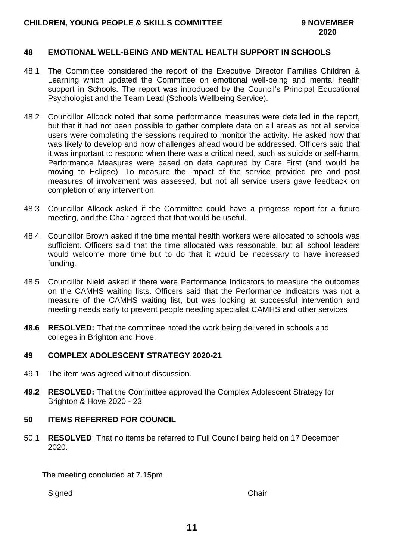## **CHILDREN, YOUNG PEOPLE & SKILLS COMMITTEE 9 NOVEMBER**

#### **48 EMOTIONAL WELL-BEING AND MENTAL HEALTH SUPPORT IN SCHOOLS**

- 48.1 The Committee considered the report of the Executive Director Families Children & Learning which updated the Committee on emotional well-being and mental health support in Schools. The report was introduced by the Council's Principal Educational Psychologist and the Team Lead (Schools Wellbeing Service).
- 48.2 Councillor Allcock noted that some performance measures were detailed in the report, but that it had not been possible to gather complete data on all areas as not all service users were completing the sessions required to monitor the activity. He asked how that was likely to develop and how challenges ahead would be addressed. Officers said that it was important to respond when there was a critical need, such as suicide or self-harm. Performance Measures were based on data captured by Care First (and would be moving to Eclipse). To measure the impact of the service provided pre and post measures of involvement was assessed, but not all service users gave feedback on completion of any intervention.
- 48.3 Councillor Allcock asked if the Committee could have a progress report for a future meeting, and the Chair agreed that that would be useful.
- 48.4 Councillor Brown asked if the time mental health workers were allocated to schools was sufficient. Officers said that the time allocated was reasonable, but all school leaders would welcome more time but to do that it would be necessary to have increased funding.
- 48.5 Councillor Nield asked if there were Performance Indicators to measure the outcomes on the CAMHS waiting lists. Officers said that the Performance Indicators was not a measure of the CAMHS waiting list, but was looking at successful intervention and meeting needs early to prevent people needing specialist CAMHS and other services
- **48.6 RESOLVED:** That the committee noted the work being delivered in schools and colleges in Brighton and Hove.

#### **49 COMPLEX ADOLESCENT STRATEGY 2020-21**

- 49.1 The item was agreed without discussion.
- **49.2 RESOLVED:** That the Committee approved the Complex Adolescent Strategy for Brighton & Hove 2020 - 23

## **50 ITEMS REFERRED FOR COUNCIL**

50.1 **RESOLVED**: That no items be referred to Full Council being held on 17 December 2020.

The meeting concluded at 7.15pm

Signed Chair